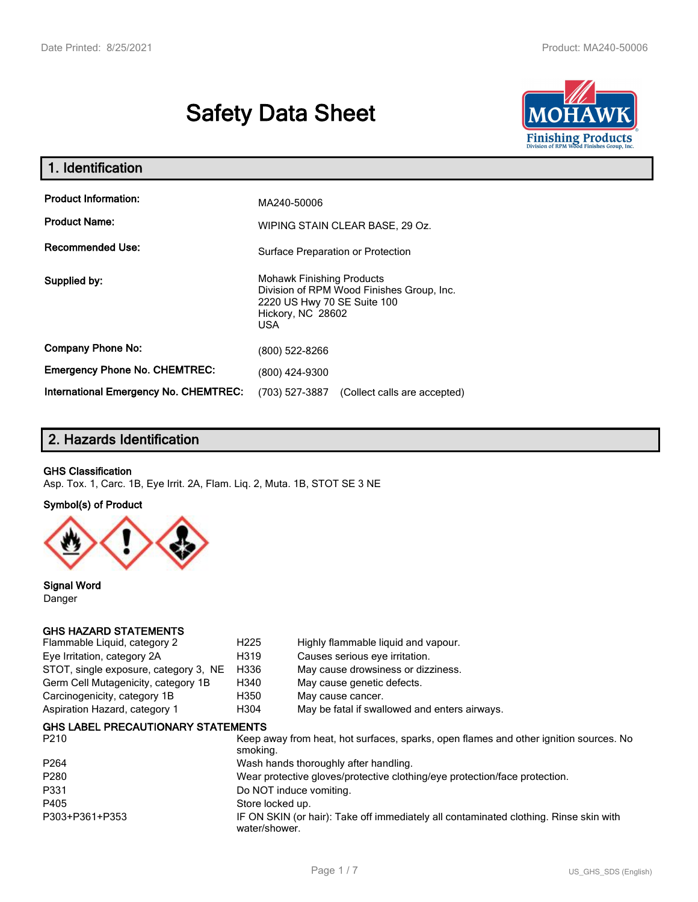# **Safety Data Sheet**



| 1. Identification                                   |                                                                                                                                           |  |  |  |
|-----------------------------------------------------|-------------------------------------------------------------------------------------------------------------------------------------------|--|--|--|
| <b>Product Information:</b><br><b>Product Name:</b> | MA240-50006<br>WIPING STAIN CLEAR BASE, 29 Oz.                                                                                            |  |  |  |
| <b>Recommended Use:</b>                             | Surface Preparation or Protection                                                                                                         |  |  |  |
| Supplied by:                                        | <b>Mohawk Finishing Products</b><br>Division of RPM Wood Finishes Group, Inc.<br>2220 US Hwy 70 SE Suite 100<br>Hickory, NC 28602<br>USA. |  |  |  |
| <b>Company Phone No:</b>                            | (800) 522-8266                                                                                                                            |  |  |  |
| <b>Emergency Phone No. CHEMTREC:</b>                | (800) 424-9300                                                                                                                            |  |  |  |
| <b>International Emergency No. CHEMTREC:</b>        | (703) 527-3887<br>(Collect calls are accepted)                                                                                            |  |  |  |

## **2. Hazards Identification**

#### **GHS Classification**

Asp. Tox. 1, Carc. 1B, Eye Irrit. 2A, Flam. Liq. 2, Muta. 1B, STOT SE 3 NE

**Symbol(s) of Product**



**Signal Word** Danger

#### **GHS HAZARD STATEMENTS**

| H <sub>225</sub>                                                           | Highly flammable liquid and vapour.                                                    |  |
|----------------------------------------------------------------------------|----------------------------------------------------------------------------------------|--|
| H319                                                                       | Causes serious eye irritation.                                                         |  |
|                                                                            | May cause drowsiness or dizziness.                                                     |  |
| H340                                                                       | May cause genetic defects.                                                             |  |
| H350                                                                       | May cause cancer.                                                                      |  |
| H <sub>304</sub>                                                           | May be fatal if swallowed and enters airways.                                          |  |
|                                                                            |                                                                                        |  |
| smoking.                                                                   | Keep away from heat, hot surfaces, sparks, open flames and other ignition sources. No  |  |
|                                                                            | Wash hands thoroughly after handling.                                                  |  |
| Wear protective gloves/protective clothing/eye protection/face protection. |                                                                                        |  |
|                                                                            | Do NOT induce vomiting.                                                                |  |
|                                                                            |                                                                                        |  |
|                                                                            | IF ON SKIN (or hair): Take off immediately all contaminated clothing. Rinse skin with  |  |
|                                                                            | H336<br><b>GHS LABEL PRECAUTIONARY STATEMENTS</b><br>Store locked up.<br>water/shower. |  |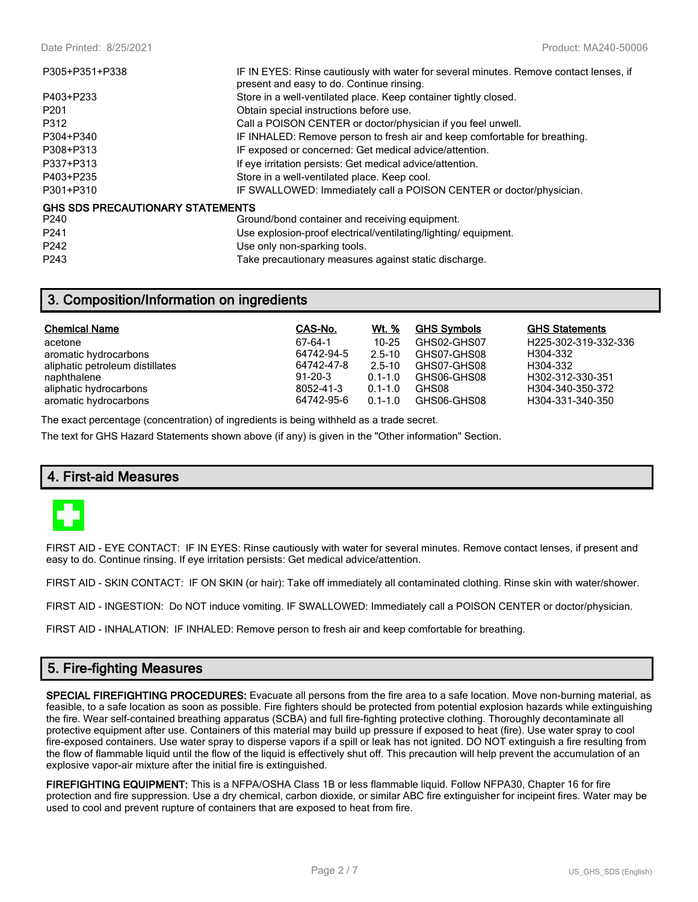| P305+P351+P338                          | IF IN EYES: Rinse cautiously with water for several minutes. Remove contact lenses, if<br>present and easy to do. Continue rinsing. |  |  |
|-----------------------------------------|-------------------------------------------------------------------------------------------------------------------------------------|--|--|
| P403+P233                               | Store in a well-ventilated place. Keep container tightly closed.                                                                    |  |  |
| P <sub>201</sub>                        | Obtain special instructions before use.                                                                                             |  |  |
| P312                                    | Call a POISON CENTER or doctor/physician if you feel unwell.                                                                        |  |  |
| P304+P340                               | IF INHALED: Remove person to fresh air and keep comfortable for breathing.                                                          |  |  |
| P308+P313                               | IF exposed or concerned: Get medical advice/attention.                                                                              |  |  |
| P337+P313                               | If eye irritation persists: Get medical advice/attention.                                                                           |  |  |
| P403+P235                               | Store in a well-ventilated place. Keep cool.                                                                                        |  |  |
| P301+P310                               | IF SWALLOWED: Immediately call a POISON CENTER or doctor/physician.                                                                 |  |  |
| <b>GHS SDS PRECAUTIONARY STATEMENTS</b> |                                                                                                                                     |  |  |
| P240                                    | Ground/bond container and receiving equipment.                                                                                      |  |  |
| P <sub>241</sub>                        | Use explosion-proof electrical/ventilating/lighting/equipment.                                                                      |  |  |
| P <sub>242</sub>                        | Use only non-sparking tools.                                                                                                        |  |  |
| P <sub>243</sub>                        | Take precautionary measures against static discharge.                                                                               |  |  |

## **3. Composition/Information on ingredients**

| <b>Chemical Name</b>            | CAS-No.       | Wt. %       | <b>GHS Symbols</b> | <b>GHS Statements</b> |
|---------------------------------|---------------|-------------|--------------------|-----------------------|
| acetone                         | 67-64-1       | $10 - 25$   | GHS02-GHS07        | H225-302-319-332-336  |
| aromatic hydrocarbons           | 64742-94-5    | $2.5 - 10$  | GHS07-GHS08        | H304-332              |
| aliphatic petroleum distillates | 64742-47-8    | $2.5 - 10$  | GHS07-GHS08        | H304-332              |
| naphthalene                     | $91 - 20 - 3$ | $0.1 - 1.0$ | GHS06-GHS08        | H302-312-330-351      |
| aliphatic hydrocarbons          | 8052-41-3     | $0.1 - 1.0$ | GHS08              | H304-340-350-372      |
| aromatic hydrocarbons           | 64742-95-6    | $0.1 - 1.0$ | GHS06-GHS08        | H304-331-340-350      |

The exact percentage (concentration) of ingredients is being withheld as a trade secret.

The text for GHS Hazard Statements shown above (if any) is given in the "Other information" Section.

#### **4. First-aid Measures**



FIRST AID - EYE CONTACT: IF IN EYES: Rinse cautiously with water for several minutes. Remove contact lenses, if present and easy to do. Continue rinsing. If eye irritation persists: Get medical advice/attention.

FIRST AID - SKIN CONTACT: IF ON SKIN (or hair): Take off immediately all contaminated clothing. Rinse skin with water/shower.

FIRST AID - INGESTION: Do NOT induce vomiting. IF SWALLOWED: Immediately call a POISON CENTER or doctor/physician.

FIRST AID - INHALATION: IF INHALED: Remove person to fresh air and keep comfortable for breathing.

## **5. Fire-fighting Measures**

**SPECIAL FIREFIGHTING PROCEDURES:** Evacuate all persons from the fire area to a safe location. Move non-burning material, as feasible, to a safe location as soon as possible. Fire fighters should be protected from potential explosion hazards while extinguishing the fire. Wear self-contained breathing apparatus (SCBA) and full fire-fighting protective clothing. Thoroughly decontaminate all protective equipment after use. Containers of this material may build up pressure if exposed to heat (fire). Use water spray to cool fire-exposed containers. Use water spray to disperse vapors if a spill or leak has not ignited. DO NOT extinguish a fire resulting from the flow of flammable liquid until the flow of the liquid is effectively shut off. This precaution will help prevent the accumulation of an explosive vapor-air mixture after the initial fire is extinguished.

**FIREFIGHTING EQUIPMENT:** This is a NFPA/OSHA Class 1B or less flammable liquid. Follow NFPA30, Chapter 16 for fire protection and fire suppression. Use a dry chemical, carbon dioxide, or similar ABC fire extinguisher for incipeint fires. Water may be used to cool and prevent rupture of containers that are exposed to heat from fire.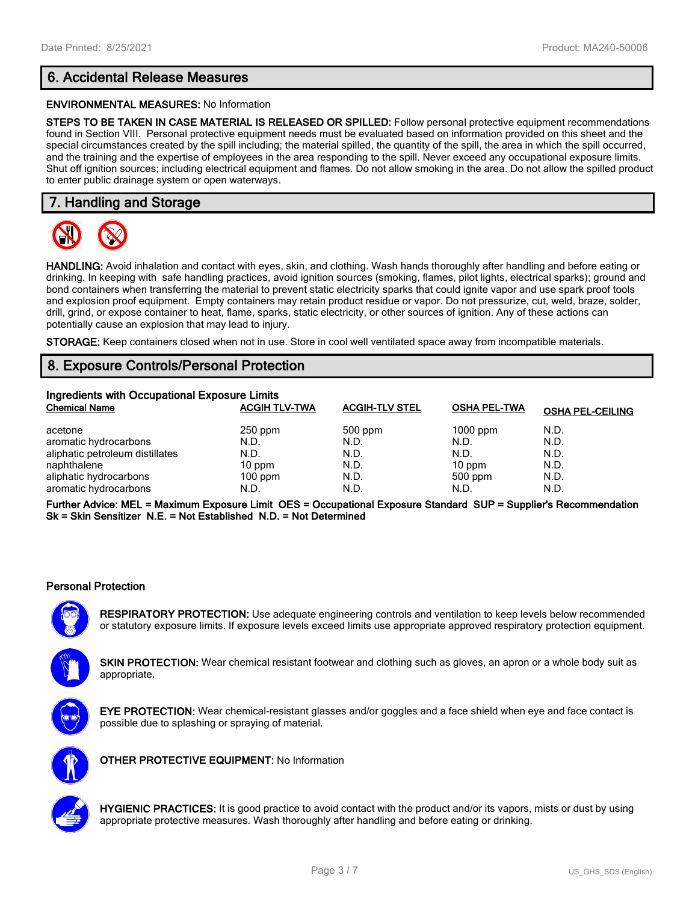## **6. Accidental Release Measures**

#### **ENVIRONMENTAL MEASURES:** No Information

**STEPS TO BE TAKEN IN CASE MATERIAL IS RELEASED OR SPILLED:** Follow personal protective equipment recommendations found in Section VIII. Personal protective equipment needs must be evaluated based on information provided on this sheet and the special circumstances created by the spill including; the material spilled, the quantity of the spill, the area in which the spill occurred, and the training and the expertise of employees in the area responding to the spill. Never exceed any occupational exposure limits. Shut off ignition sources; including electrical equipment and flames. Do not allow smoking in the area. Do not allow the spilled product to enter public drainage system or open waterways.

## **7. Handling and Storage**



**HANDLING:** Avoid inhalation and contact with eyes, skin, and clothing. Wash hands thoroughly after handling and before eating or drinking. In keeping with safe handling practices, avoid ignition sources (smoking, flames, pilot lights, electrical sparks); ground and bond containers when transferring the material to prevent static electricity sparks that could ignite vapor and use spark proof tools and explosion proof equipment. Empty containers may retain product residue or vapor. Do not pressurize, cut, weld, braze, solder, drill, grind, or expose container to heat, flame, sparks, static electricity, or other sources of ignition. Any of these actions can potentially cause an explosion that may lead to injury.

**STORAGE:** Keep containers closed when not in use. Store in cool well ventilated space away from incompatible materials.

## **8. Exposure Controls/Personal Protection**

| Ingredients with Occupational Exposure Limits |                      |                       |                     |                         |  |  |
|-----------------------------------------------|----------------------|-----------------------|---------------------|-------------------------|--|--|
| <b>Chemical Name</b>                          | <b>ACGIH TLV-TWA</b> | <b>ACGIH-TLV STEL</b> | <b>OSHA PEL-TWA</b> | <b>OSHA PEL-CEILING</b> |  |  |
| acetone                                       | $250$ ppm            | 500 ppm               | $1000$ ppm          | N.D.                    |  |  |
| aromatic hydrocarbons                         | N.D.                 | N.D.                  | N.D.                | N.D.                    |  |  |
| aliphatic petroleum distillates               | N.D.                 | N.D.                  | N.D.                | N.D.                    |  |  |
| naphthalene                                   | $10$ ppm             | N.D.                  | $10$ ppm            | N.D.                    |  |  |
| aliphatic hydrocarbons                        | $100$ ppm            | N.D.                  | 500 ppm             | N.D.                    |  |  |
| aromatic hydrocarbons                         | N.D.                 | N.D.                  | N.D.                | N.D.                    |  |  |

**Further Advice: MEL = Maximum Exposure Limit OES = Occupational Exposure Standard SUP = Supplier's Recommendation Sk = Skin Sensitizer N.E. = Not Established N.D. = Not Determined**

#### **Personal Protection**

**RESPIRATORY PROTECTION:** Use adequate engineering controls and ventilation to keep levels below recommended or statutory exposure limits. If exposure levels exceed limits use appropriate approved respiratory protection equipment.

**SKIN PROTECTION:** Wear chemical resistant footwear and clothing such as gloves, an apron or a whole body suit as appropriate.



**EYE PROTECTION:** Wear chemical-resistant glasses and/or goggles and a face shield when eye and face contact is possible due to splashing or spraying of material.



**OTHER PROTECTIVE EQUIPMENT:** No Information



**HYGIENIC PRACTICES:** It is good practice to avoid contact with the product and/or its vapors, mists or dust by using appropriate protective measures. Wash thoroughly after handling and before eating or drinking.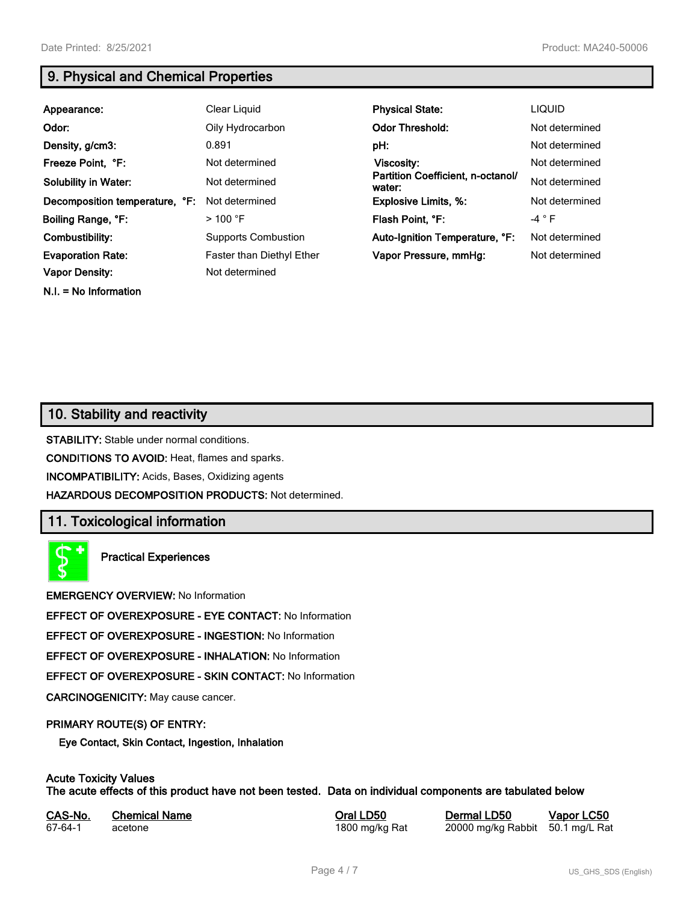**N.I. = No Information**

## **9. Physical and Chemical Properties**

| Appearance:                    | Clear Liquid               | <b>Physical State:</b>                      | <b>LIQUID</b>   |
|--------------------------------|----------------------------|---------------------------------------------|-----------------|
| Odor:                          | Oily Hydrocarbon           | <b>Odor Threshold:</b>                      | Not determined  |
| Density, g/cm3:                | 0.891                      | pH:                                         | Not determined  |
| Freeze Point, °F:              | Not determined             | <b>Viscosity:</b>                           | Not determined  |
| <b>Solubility in Water:</b>    | Not determined             | Partition Coefficient, n-octanol/<br>water: | Not determined  |
| Decomposition temperature, °F: | Not determined             | <b>Explosive Limits, %:</b>                 | Not determined  |
| Boiling Range, °F:             | $>100$ °F                  | Flash Point, °F:                            | -4 $^{\circ}$ F |
| Combustibility:                | <b>Supports Combustion</b> | Auto-Ignition Temperature, °F:              | Not determined  |
| <b>Evaporation Rate:</b>       | Faster than Diethyl Ether  | Vapor Pressure, mmHg:                       | Not determined  |
| <b>Vapor Density:</b>          | Not determined             |                                             |                 |

## **10. Stability and reactivity**

**STABILITY:** Stable under normal conditions.

**CONDITIONS TO AVOID:** Heat, flames and sparks.

**INCOMPATIBILITY:** Acids, Bases, Oxidizing agents

**HAZARDOUS DECOMPOSITION PRODUCTS:** Not determined.

## **11. Toxicological information**

**Practical Experiences**

**EMERGENCY OVERVIEW:** No Information

**EFFECT OF OVEREXPOSURE - EYE CONTACT:** No Information

**EFFECT OF OVEREXPOSURE - INGESTION:** No Information

**EFFECT OF OVEREXPOSURE - INHALATION:** No Information

**EFFECT OF OVEREXPOSURE - SKIN CONTACT:** No Information

**CARCINOGENICITY:** May cause cancer.

#### **PRIMARY ROUTE(S) OF ENTRY:**

**Eye Contact, Skin Contact, Ingestion, Inhalation**

## **Acute Toxicity Values**

**The acute effects of this product have not been tested. Data on individual components are tabulated below**

| CAS-No. | <b>Chemical Name</b> | Ora |
|---------|----------------------|-----|
| 67-64-1 | acetone              | 180 |

**CAS-No. Chemical Name Oral LD50 Dermal LD50 Vapor LC50**

0 mg/kg Rat 20000 mg/kg Rabbit 50.1 mg/L Rat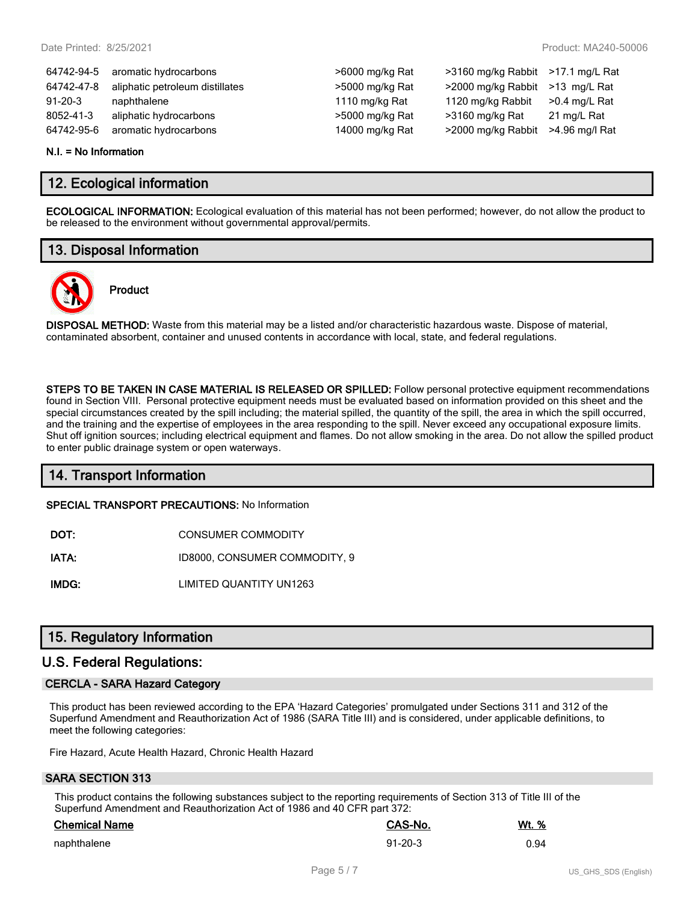>6000 mg/kg Rat >3160 mg/kg Rabbit >17.1 mg/L Rat  $>5000$  mg/kg Rat  $>2000$  mg/kg Rabbit  $>13$  mg/L Rat 1110 mg/kg Rat  $1120$  mg/kg Rabbit  $>0.4$  mg/L Rat >5000 mg/kg Rat >3160 mg/kg Rat 21 mg/L Rat 14000 mg/kg Rat >2000 mg/kg Rabbit >4.96 mg/l Rat

| 64742-94-5    | aromatic hydrocarbons           |
|---------------|---------------------------------|
| 64742-47-8    | aliphatic petroleum distillates |
| $91 - 20 - 3$ | naphthalene                     |
| 8052-41-3     | aliphatic hydrocarbons          |
| 64742-95-6    | aromatic hydrocarbons           |

#### **N.I. = No Information**

## **12. Ecological information**

**ECOLOGICAL INFORMATION:** Ecological evaluation of this material has not been performed; however, do not allow the product to be released to the environment without governmental approval/permits.

## **13. Disposal Information**



## **Product**

**DISPOSAL METHOD:** Waste from this material may be a listed and/or characteristic hazardous waste. Dispose of material, contaminated absorbent, container and unused contents in accordance with local, state, and federal regulations.

**STEPS TO BE TAKEN IN CASE MATERIAL IS RELEASED OR SPILLED:** Follow personal protective equipment recommendations found in Section VIII. Personal protective equipment needs must be evaluated based on information provided on this sheet and the special circumstances created by the spill including; the material spilled, the quantity of the spill, the area in which the spill occurred, and the training and the expertise of employees in the area responding to the spill. Never exceed any occupational exposure limits. Shut off ignition sources; including electrical equipment and flames. Do not allow smoking in the area. Do not allow the spilled product to enter public drainage system or open waterways.

## **14. Transport Information**

**SPECIAL TRANSPORT PRECAUTIONS:** No Information

**DOT:** CONSUMER COMMODITY

**IATA:** ID8000, CONSUMER COMMODITY, 9

**IMDG:** LIMITED QUANTITY UN1263

## **15. Regulatory Information**

#### **U.S. Federal Regulations:**

#### **CERCLA - SARA Hazard Category**

This product has been reviewed according to the EPA 'Hazard Categories' promulgated under Sections 311 and 312 of the Superfund Amendment and Reauthorization Act of 1986 (SARA Title III) and is considered, under applicable definitions, to meet the following categories:

Fire Hazard, Acute Health Hazard, Chronic Health Hazard

#### **SARA SECTION 313**

This product contains the following substances subject to the reporting requirements of Section 313 of Title III of the Superfund Amendment and Reauthorization Act of 1986 and 40 CFR part 372:

| <b>Chemical Name</b> | CAS-No.       | <u>Wt. %</u> |
|----------------------|---------------|--------------|
| naphthalene          | $91 - 20 - 3$ | 0.94         |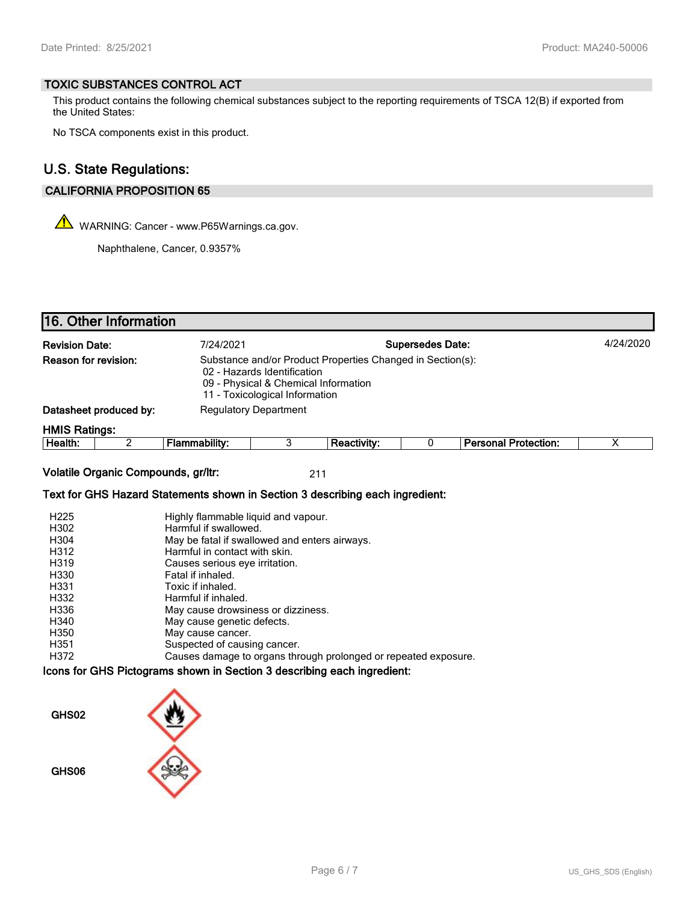#### **TOXIC SUBSTANCES CONTROL ACT**

This product contains the following chemical substances subject to the reporting requirements of TSCA 12(B) if exported from the United States:

No TSCA components exist in this product.

## **U.S. State Regulations:**

## **CALIFORNIA PROPOSITION 65**

WARNING: Cancer - www.P65Warnings.ca.gov.

Naphthalene, Cancer, 0.9357%

| 16. Other Information                                                                                                                                                                       |                                                                                                                                                                                                                                                                                                                                                                                                                                               |                              |                    |                         |                             |                         |
|---------------------------------------------------------------------------------------------------------------------------------------------------------------------------------------------|-----------------------------------------------------------------------------------------------------------------------------------------------------------------------------------------------------------------------------------------------------------------------------------------------------------------------------------------------------------------------------------------------------------------------------------------------|------------------------------|--------------------|-------------------------|-----------------------------|-------------------------|
| <b>Revision Date:</b>                                                                                                                                                                       | 7/24/2021                                                                                                                                                                                                                                                                                                                                                                                                                                     |                              |                    | <b>Supersedes Date:</b> |                             | 4/24/2020               |
| Reason for revision:                                                                                                                                                                        | Substance and/or Product Properties Changed in Section(s):<br>02 - Hazards Identification<br>09 - Physical & Chemical Information<br>11 - Toxicological Information                                                                                                                                                                                                                                                                           |                              |                    |                         |                             |                         |
| Datasheet produced by:                                                                                                                                                                      |                                                                                                                                                                                                                                                                                                                                                                                                                                               | <b>Regulatory Department</b> |                    |                         |                             |                         |
| <b>HMIS Ratings:</b>                                                                                                                                                                        |                                                                                                                                                                                                                                                                                                                                                                                                                                               |                              |                    |                         |                             |                         |
| $\overline{2}$<br>Health:                                                                                                                                                                   | <b>Flammability:</b>                                                                                                                                                                                                                                                                                                                                                                                                                          | 3                            | <b>Reactivity:</b> | 0                       | <b>Personal Protection:</b> | $\overline{\mathsf{x}}$ |
| Volatile Organic Compounds, gr/ltr:                                                                                                                                                         |                                                                                                                                                                                                                                                                                                                                                                                                                                               |                              | 211                |                         |                             |                         |
| Text for GHS Hazard Statements shown in Section 3 describing each ingredient:                                                                                                               |                                                                                                                                                                                                                                                                                                                                                                                                                                               |                              |                    |                         |                             |                         |
| H <sub>225</sub><br>H302<br>H304<br>H312<br>H319<br>H330<br>H331<br>H332<br>H336<br>H340<br>H350<br>H351<br>H372<br>Icons for GHS Pictograms shown in Section 3 describing each ingredient: | Highly flammable liquid and vapour.<br>Harmful if swallowed.<br>May be fatal if swallowed and enters airways.<br>Harmful in contact with skin.<br>Causes serious eye irritation.<br>Fatal if inhaled.<br>Toxic if inhaled.<br>Harmful if inhaled.<br>May cause drowsiness or dizziness.<br>May cause genetic defects.<br>May cause cancer.<br>Suspected of causing cancer.<br>Causes damage to organs through prolonged or repeated exposure. |                              |                    |                         |                             |                         |
| GHS02<br>GHS06                                                                                                                                                                              |                                                                                                                                                                                                                                                                                                                                                                                                                                               |                              |                    |                         |                             |                         |